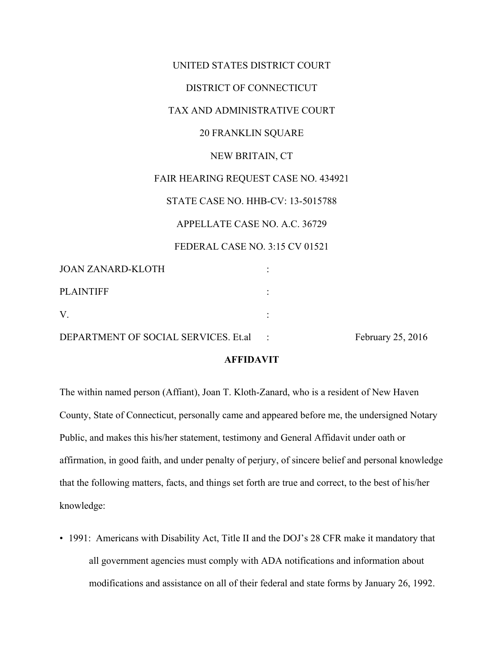|                   | UNITED STATES DISTRICT COURT             |
|-------------------|------------------------------------------|
|                   | DISTRICT OF CONNECTICUT                  |
|                   | TAX AND ADMINISTRATIVE COURT             |
|                   | <b>20 FRANKLIN SQUARE</b>                |
|                   | NEW BRITAIN, CT                          |
|                   | FAIR HEARING REQUEST CASE NO. 434921     |
|                   | <b>STATE CASE NO. HHB-CV: 13-5015788</b> |
|                   | APPELLATE CASE NO. A.C. 36729            |
|                   | FEDERAL CASE NO. 3:15 CV 01521           |
| JOAN ZANARD-KLOTH |                                          |
| <b>PLAINTIFF</b>  |                                          |
| V.                |                                          |
|                   |                                          |

DEPARTMENT OF SOCIAL SERVICES. Et.al : February 25, 2016

## **AFFIDAVIT**

The within named person (Affiant), Joan T. Kloth-Zanard, who is a resident of New Haven County, State of Connecticut, personally came and appeared before me, the undersigned Notary Public, and makes this his/her statement, testimony and General Affidavit under oath or affirmation, in good faith, and under penalty of perjury, of sincere belief and personal knowledge that the following matters, facts, and things set forth are true and correct, to the best of his/her knowledge:

• 1991: Americans with Disability Act, Title II and the DOJ's 28 CFR make it mandatory that all government agencies must comply with ADA notifications and information about modifications and assistance on all of their federal and state forms by January 26, 1992.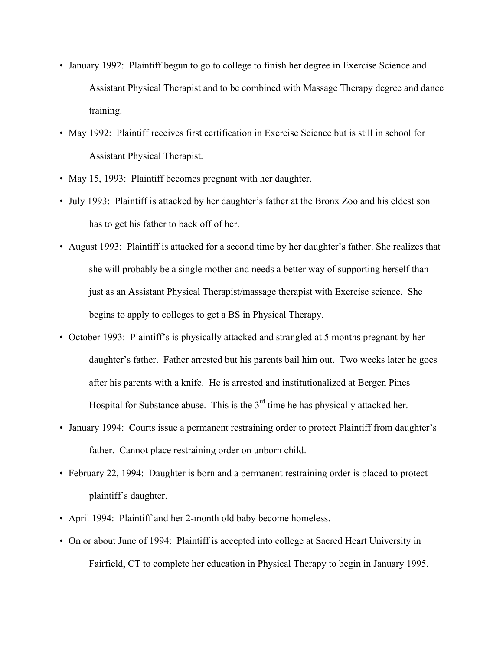- January 1992: Plaintiff begun to go to college to finish her degree in Exercise Science and Assistant Physical Therapist and to be combined with Massage Therapy degree and dance training.
- May 1992: Plaintiff receives first certification in Exercise Science but is still in school for Assistant Physical Therapist.
- May 15, 1993: Plaintiff becomes pregnant with her daughter.
- July 1993: Plaintiff is attacked by her daughter's father at the Bronx Zoo and his eldest son has to get his father to back off of her.
- August 1993: Plaintiff is attacked for a second time by her daughter's father. She realizes that she will probably be a single mother and needs a better way of supporting herself than just as an Assistant Physical Therapist/massage therapist with Exercise science. She begins to apply to colleges to get a BS in Physical Therapy.
- October 1993: Plaintiff's is physically attacked and strangled at 5 months pregnant by her daughter's father. Father arrested but his parents bail him out. Two weeks later he goes after his parents with a knife. He is arrested and institutionalized at Bergen Pines Hospital for Substance abuse. This is the  $3<sup>rd</sup>$  time he has physically attacked her.
- January 1994: Courts issue a permanent restraining order to protect Plaintiff from daughter's father. Cannot place restraining order on unborn child.
- February 22, 1994: Daughter is born and a permanent restraining order is placed to protect plaintiff's daughter.
- April 1994: Plaintiff and her 2-month old baby become homeless.
- On or about June of 1994: Plaintiff is accepted into college at Sacred Heart University in Fairfield, CT to complete her education in Physical Therapy to begin in January 1995.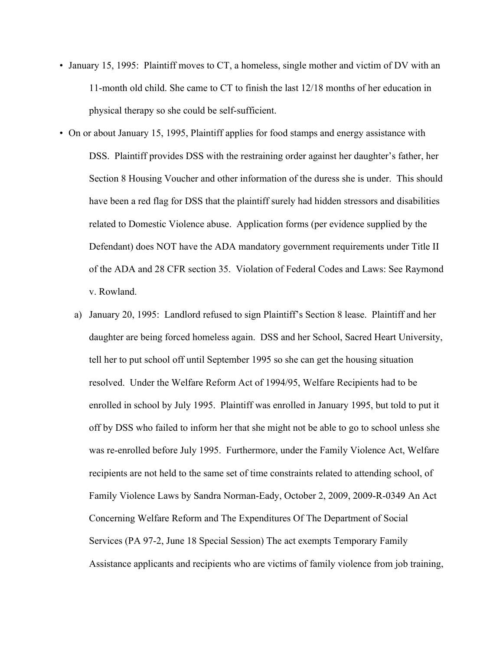- January 15, 1995: Plaintiff moves to CT, a homeless, single mother and victim of DV with an 11-month old child. She came to CT to finish the last 12/18 months of her education in physical therapy so she could be self-sufficient.
- On or about January 15, 1995, Plaintiff applies for food stamps and energy assistance with DSS. Plaintiff provides DSS with the restraining order against her daughter's father, her Section 8 Housing Voucher and other information of the duress she is under. This should have been a red flag for DSS that the plaintiff surely had hidden stressors and disabilities related to Domestic Violence abuse. Application forms (per evidence supplied by the Defendant) does NOT have the ADA mandatory government requirements under Title II of the ADA and 28 CFR section 35. Violation of Federal Codes and Laws: See Raymond v. Rowland.
	- a) January 20, 1995: Landlord refused to sign Plaintiff's Section 8 lease. Plaintiff and her daughter are being forced homeless again. DSS and her School, Sacred Heart University, tell her to put school off until September 1995 so she can get the housing situation resolved. Under the Welfare Reform Act of 1994/95, Welfare Recipients had to be enrolled in school by July 1995. Plaintiff was enrolled in January 1995, but told to put it off by DSS who failed to inform her that she might not be able to go to school unless she was re-enrolled before July 1995. Furthermore, under the Family Violence Act, Welfare recipients are not held to the same set of time constraints related to attending school, of Family Violence Laws by Sandra Norman-Eady, October 2, 2009, 2009-R-0349 An Act Concerning Welfare Reform and The Expenditures Of The Department of Social Services (PA 97-2, June 18 Special Session) The act exempts Temporary Family Assistance applicants and recipients who are victims of family violence from job training,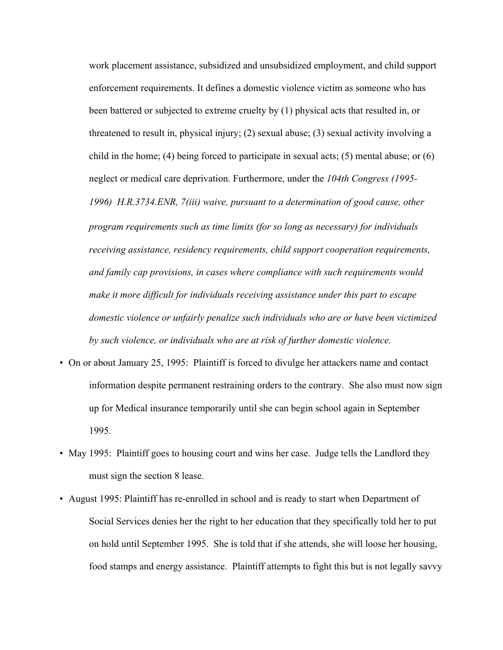work placement assistance, subsidized and unsubsidized employment, and child support enforcement requirements. It defines a domestic violence victim as someone who has been battered or subjected to extreme cruelty by (1) physical acts that resulted in, or threatened to result in, physical injury; (2) sexual abuse; (3) sexual activity involving a child in the home; (4) being forced to participate in sexual acts; (5) mental abuse; or (6) neglect or medical care deprivation. Furthermore, under the *104th Congress (1995- 1996) H.R.3734.ENR, 7(iii) waive, pursuant to a determination of good cause, other* 

*program requirements such as time limits (for so long as necessary) for individuals receiving assistance, residency requirements, child support cooperation requirements, and family cap provisions, in cases where compliance with such requirements would make it more difficult for individuals receiving assistance under this part to escape domestic violence or unfairly penalize such individuals who are or have been victimized by such violence, or individuals who are at risk of further domestic violence.*

- On or about January 25, 1995: Plaintiff is forced to divulge her attackers name and contact information despite permanent restraining orders to the contrary. She also must now sign up for Medical insurance temporarily until she can begin school again in September 1995.
- May 1995: Plaintiff goes to housing court and wins her case. Judge tells the Landlord they must sign the section 8 lease.
- August 1995: Plaintiff has re-enrolled in school and is ready to start when Department of Social Services denies her the right to her education that they specifically told her to put on hold until September 1995. She is told that if she attends, she will loose her housing, food stamps and energy assistance. Plaintiff attempts to fight this but is not legally savvy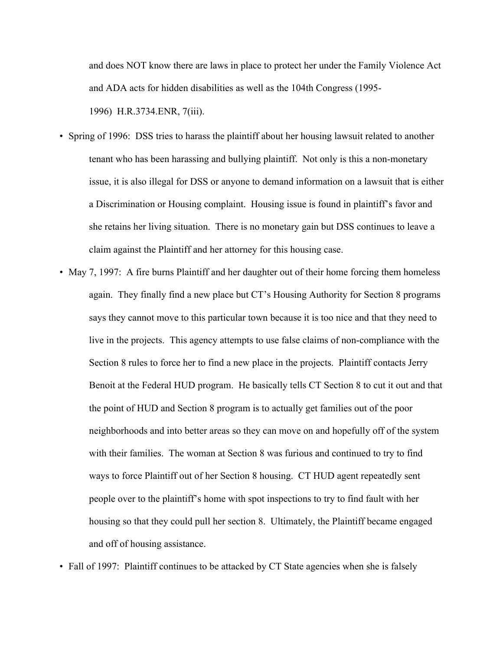and does NOT know there are laws in place to protect her under the Family Violence Act and ADA acts for hidden disabilities as well as the 104th Congress (1995- 1996) H.R.3734.ENR, 7(iii).

- Spring of 1996: DSS tries to harass the plaintiff about her housing lawsuit related to another tenant who has been harassing and bullying plaintiff. Not only is this a non-monetary issue, it is also illegal for DSS or anyone to demand information on a lawsuit that is either a Discrimination or Housing complaint. Housing issue is found in plaintiff's favor and she retains her living situation. There is no monetary gain but DSS continues to leave a claim against the Plaintiff and her attorney for this housing case.
- May 7, 1997: A fire burns Plaintiff and her daughter out of their home forcing them homeless again. They finally find a new place but CT's Housing Authority for Section 8 programs says they cannot move to this particular town because it is too nice and that they need to live in the projects. This agency attempts to use false claims of non-compliance with the Section 8 rules to force her to find a new place in the projects. Plaintiff contacts Jerry Benoit at the Federal HUD program. He basically tells CT Section 8 to cut it out and that the point of HUD and Section 8 program is to actually get families out of the poor neighborhoods and into better areas so they can move on and hopefully off of the system with their families. The woman at Section 8 was furious and continued to try to find ways to force Plaintiff out of her Section 8 housing. CT HUD agent repeatedly sent people over to the plaintiff's home with spot inspections to try to find fault with her housing so that they could pull her section 8. Ultimately, the Plaintiff became engaged and off of housing assistance.

• Fall of 1997: Plaintiff continues to be attacked by CT State agencies when she is falsely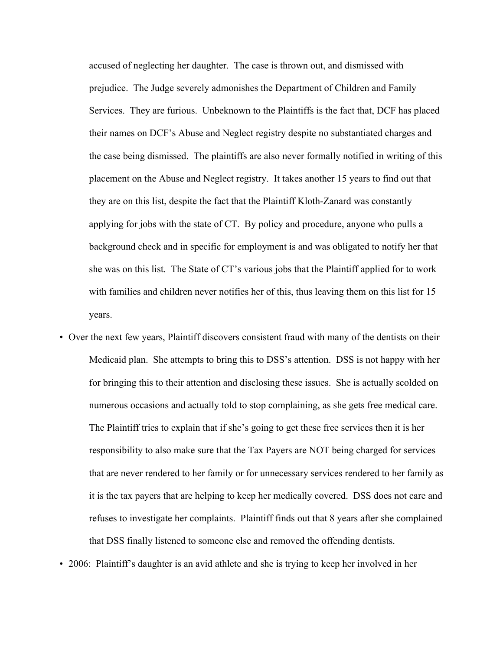accused of neglecting her daughter. The case is thrown out, and dismissed with prejudice. The Judge severely admonishes the Department of Children and Family Services. They are furious. Unbeknown to the Plaintiffs is the fact that, DCF has placed their names on DCF's Abuse and Neglect registry despite no substantiated charges and the case being dismissed. The plaintiffs are also never formally notified in writing of this placement on the Abuse and Neglect registry. It takes another 15 years to find out that they are on this list, despite the fact that the Plaintiff Kloth-Zanard was constantly applying for jobs with the state of CT. By policy and procedure, anyone who pulls a background check and in specific for employment is and was obligated to notify her that she was on this list. The State of CT's various jobs that the Plaintiff applied for to work with families and children never notifies her of this, thus leaving them on this list for 15 years.

- Over the next few years, Plaintiff discovers consistent fraud with many of the dentists on their Medicaid plan. She attempts to bring this to DSS's attention. DSS is not happy with her for bringing this to their attention and disclosing these issues. She is actually scolded on numerous occasions and actually told to stop complaining, as she gets free medical care. The Plaintiff tries to explain that if she's going to get these free services then it is her responsibility to also make sure that the Tax Payers are NOT being charged for services that are never rendered to her family or for unnecessary services rendered to her family as it is the tax payers that are helping to keep her medically covered. DSS does not care and refuses to investigate her complaints. Plaintiff finds out that 8 years after she complained that DSS finally listened to someone else and removed the offending dentists.
- 2006: Plaintiff's daughter is an avid athlete and she is trying to keep her involved in her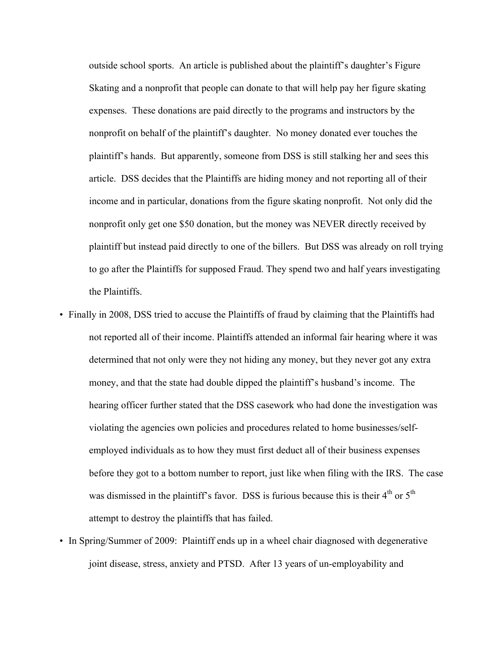outside school sports. An article is published about the plaintiff's daughter's Figure Skating and a nonprofit that people can donate to that will help pay her figure skating expenses. These donations are paid directly to the programs and instructors by the nonprofit on behalf of the plaintiff's daughter. No money donated ever touches the plaintiff's hands. But apparently, someone from DSS is still stalking her and sees this article. DSS decides that the Plaintiffs are hiding money and not reporting all of their income and in particular, donations from the figure skating nonprofit. Not only did the nonprofit only get one \$50 donation, but the money was NEVER directly received by plaintiff but instead paid directly to one of the billers. But DSS was already on roll trying to go after the Plaintiffs for supposed Fraud. They spend two and half years investigating the Plaintiffs.

- Finally in 2008, DSS tried to accuse the Plaintiffs of fraud by claiming that the Plaintiffs had not reported all of their income. Plaintiffs attended an informal fair hearing where it was determined that not only were they not hiding any money, but they never got any extra money, and that the state had double dipped the plaintiff's husband's income. The hearing officer further stated that the DSS casework who had done the investigation was violating the agencies own policies and procedures related to home businesses/selfemployed individuals as to how they must first deduct all of their business expenses before they got to a bottom number to report, just like when filing with the IRS. The case was dismissed in the plaintiff's favor. DSS is furious because this is their  $4<sup>th</sup>$  or  $5<sup>th</sup>$ attempt to destroy the plaintiffs that has failed.
- In Spring/Summer of 2009: Plaintiff ends up in a wheel chair diagnosed with degenerative joint disease, stress, anxiety and PTSD. After 13 years of un-employability and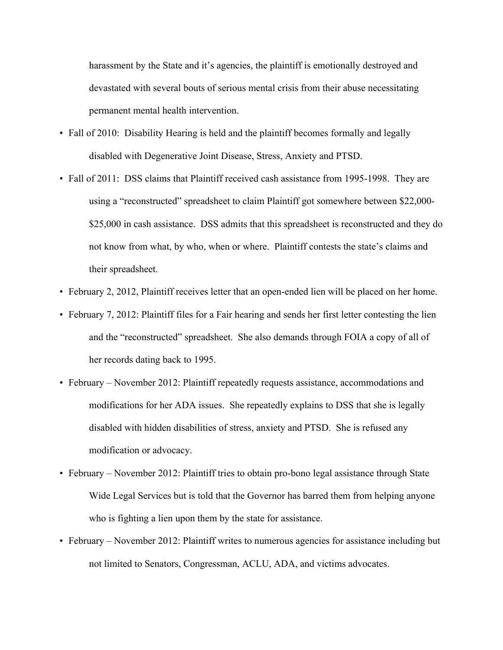harassment by the State and it's agencies, the plaintiff is emotionally destroyed and devastated with several bouts of serious mental crisis from their abuse necessitating permanent mental health intervention.

- Fall of 2010: Disability Hearing is held and the plaintiff becomes formally and legally disabled with Degenerative Joint Disease, Stress, Anxiety and PTSD.
- Fall of 2011: DSS claims that Plaintiff received cash assistance from 1995-1998. They are using a "reconstructed" spreadsheet to claim Plaintiff got somewhere between \$22,000- \$25,000 in cash assistance. DSS admits that this spreadsheet is reconstructed and they do not know from what, by who, when or where. Plaintiff contests the state's claims and their spreadsheet.
- February 2, 2012, Plaintiff receives letter that an open-ended lien will be placed on her home.
- February 7, 2012: Plaintiff files for a Fair hearing and sends her first letter contesting the lien and the "reconstructed" spreadsheet. She also demands through FOIA a copy of all of her records dating back to 1995.
- February November 2012: Plaintiff repeatedly requests assistance, accommodations and modifications for her ADA issues. She repeatedly explains to DSS that she is legally disabled with hidden disabilities of stress, anxiety and PTSD. She is refused any modification or advocacy.
- February November 2012: Plaintiff tries to obtain pro-bono legal assistance through State Wide Legal Services but is told that the Governor has barred them from helping anyone who is fighting a lien upon them by the state for assistance.
- February November 2012: Plaintiff writes to numerous agencies for assistance including but not limited to Senators, Congressman, ACLU, ADA, and victims advocates.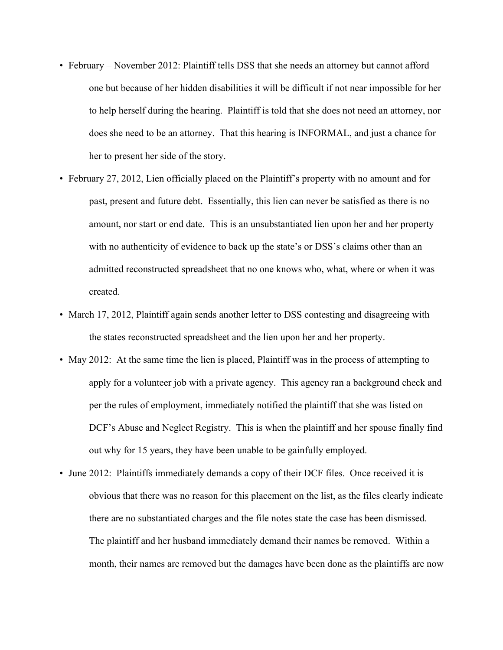- February November 2012: Plaintiff tells DSS that she needs an attorney but cannot afford one but because of her hidden disabilities it will be difficult if not near impossible for her to help herself during the hearing. Plaintiff is told that she does not need an attorney, nor does she need to be an attorney. That this hearing is INFORMAL, and just a chance for her to present her side of the story.
- February 27, 2012, Lien officially placed on the Plaintiff's property with no amount and for past, present and future debt. Essentially, this lien can never be satisfied as there is no amount, nor start or end date. This is an unsubstantiated lien upon her and her property with no authenticity of evidence to back up the state's or DSS's claims other than an admitted reconstructed spreadsheet that no one knows who, what, where or when it was created.
- March 17, 2012, Plaintiff again sends another letter to DSS contesting and disagreeing with the states reconstructed spreadsheet and the lien upon her and her property.
- May 2012: At the same time the lien is placed, Plaintiff was in the process of attempting to apply for a volunteer job with a private agency. This agency ran a background check and per the rules of employment, immediately notified the plaintiff that she was listed on DCF's Abuse and Neglect Registry. This is when the plaintiff and her spouse finally find out why for 15 years, they have been unable to be gainfully employed.
- June 2012: Plaintiffs immediately demands a copy of their DCF files. Once received it is obvious that there was no reason for this placement on the list, as the files clearly indicate there are no substantiated charges and the file notes state the case has been dismissed. The plaintiff and her husband immediately demand their names be removed. Within a month, their names are removed but the damages have been done as the plaintiffs are now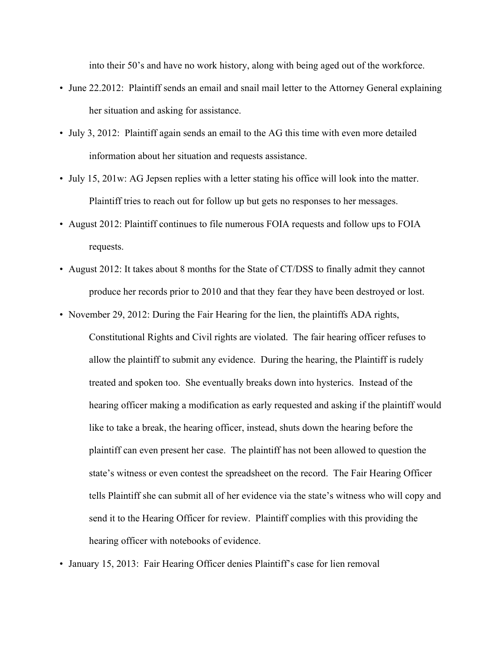into their 50's and have no work history, along with being aged out of the workforce.

- June 22.2012: Plaintiff sends an email and snail mail letter to the Attorney General explaining her situation and asking for assistance.
- July 3, 2012: Plaintiff again sends an email to the AG this time with even more detailed information about her situation and requests assistance.
- July 15, 201w: AG Jepsen replies with a letter stating his office will look into the matter. Plaintiff tries to reach out for follow up but gets no responses to her messages.
- August 2012: Plaintiff continues to file numerous FOIA requests and follow ups to FOIA requests.
- August 2012: It takes about 8 months for the State of CT/DSS to finally admit they cannot produce her records prior to 2010 and that they fear they have been destroyed or lost.
- November 29, 2012: During the Fair Hearing for the lien, the plaintiffs ADA rights,

Constitutional Rights and Civil rights are violated. The fair hearing officer refuses to allow the plaintiff to submit any evidence. During the hearing, the Plaintiff is rudely treated and spoken too. She eventually breaks down into hysterics. Instead of the hearing officer making a modification as early requested and asking if the plaintiff would like to take a break, the hearing officer, instead, shuts down the hearing before the plaintiff can even present her case. The plaintiff has not been allowed to question the state's witness or even contest the spreadsheet on the record. The Fair Hearing Officer tells Plaintiff she can submit all of her evidence via the state's witness who will copy and send it to the Hearing Officer for review. Plaintiff complies with this providing the hearing officer with notebooks of evidence.

• January 15, 2013: Fair Hearing Officer denies Plaintiff's case for lien removal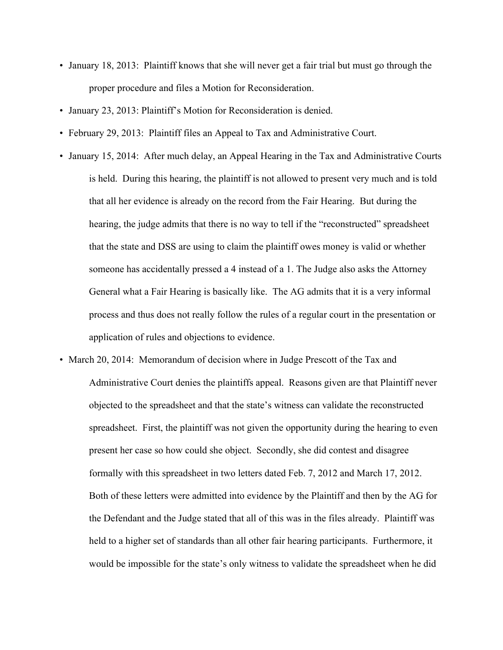- January 18, 2013: Plaintiff knows that she will never get a fair trial but must go through the proper procedure and files a Motion for Reconsideration.
- January 23, 2013: Plaintiff's Motion for Reconsideration is denied.
- February 29, 2013: Plaintiff files an Appeal to Tax and Administrative Court.
- January 15, 2014: After much delay, an Appeal Hearing in the Tax and Administrative Courts is held. During this hearing, the plaintiff is not allowed to present very much and is told that all her evidence is already on the record from the Fair Hearing. But during the hearing, the judge admits that there is no way to tell if the "reconstructed" spreadsheet that the state and DSS are using to claim the plaintiff owes money is valid or whether someone has accidentally pressed a 4 instead of a 1. The Judge also asks the Attorney General what a Fair Hearing is basically like. The AG admits that it is a very informal process and thus does not really follow the rules of a regular court in the presentation or application of rules and objections to evidence.
- March 20, 2014: Memorandum of decision where in Judge Prescott of the Tax and Administrative Court denies the plaintiffs appeal. Reasons given are that Plaintiff never objected to the spreadsheet and that the state's witness can validate the reconstructed spreadsheet. First, the plaintiff was not given the opportunity during the hearing to even present her case so how could she object. Secondly, she did contest and disagree formally with this spreadsheet in two letters dated Feb. 7, 2012 and March 17, 2012. Both of these letters were admitted into evidence by the Plaintiff and then by the AG for the Defendant and the Judge stated that all of this was in the files already. Plaintiff was held to a higher set of standards than all other fair hearing participants. Furthermore, it would be impossible for the state's only witness to validate the spreadsheet when he did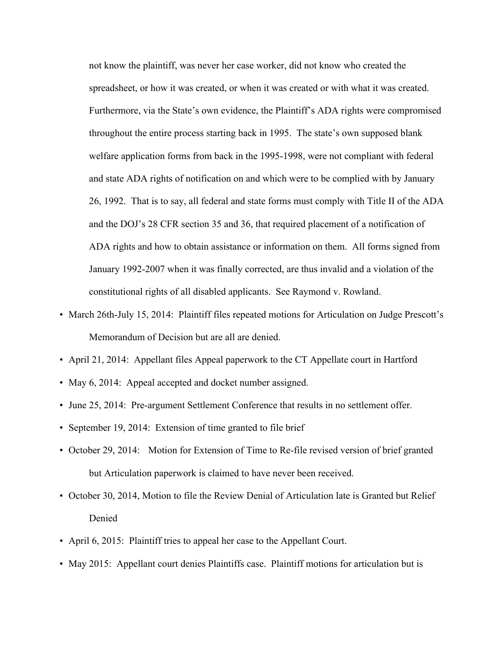not know the plaintiff, was never her case worker, did not know who created the spreadsheet, or how it was created, or when it was created or with what it was created. Furthermore, via the State's own evidence, the Plaintiff's ADA rights were compromised throughout the entire process starting back in 1995. The state's own supposed blank welfare application forms from back in the 1995-1998, were not compliant with federal and state ADA rights of notification on and which were to be complied with by January 26, 1992. That is to say, all federal and state forms must comply with Title II of the ADA and the DOJ's 28 CFR section 35 and 36, that required placement of a notification of ADA rights and how to obtain assistance or information on them. All forms signed from January 1992-2007 when it was finally corrected, are thus invalid and a violation of the constitutional rights of all disabled applicants. See Raymond v. Rowland.

- March 26th-July 15, 2014: Plaintiff files repeated motions for Articulation on Judge Prescott's Memorandum of Decision but are all are denied.
- April 21, 2014: Appellant files Appeal paperwork to the CT Appellate court in Hartford
- May 6, 2014: Appeal accepted and docket number assigned.
- June 25, 2014: Pre-argument Settlement Conference that results in no settlement offer.
- September 19, 2014: Extension of time granted to file brief
- October 29, 2014: Motion for Extension of Time to Re-file revised version of brief granted but Articulation paperwork is claimed to have never been received.
- October 30, 2014, Motion to file the Review Denial of Articulation late is Granted but Relief Denied
- April 6, 2015: Plaintiff tries to appeal her case to the Appellant Court.
- May 2015: Appellant court denies Plaintiffs case. Plaintiff motions for articulation but is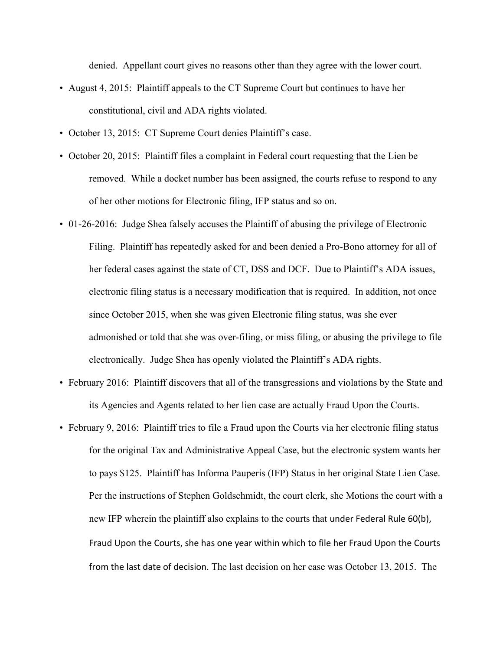denied. Appellant court gives no reasons other than they agree with the lower court.

- August 4, 2015: Plaintiff appeals to the CT Supreme Court but continues to have her constitutional, civil and ADA rights violated.
- October 13, 2015: CT Supreme Court denies Plaintiff's case.
- October 20, 2015: Plaintiff files a complaint in Federal court requesting that the Lien be removed. While a docket number has been assigned, the courts refuse to respond to any of her other motions for Electronic filing, IFP status and so on.
- 01-26-2016: Judge Shea falsely accuses the Plaintiff of abusing the privilege of Electronic Filing. Plaintiff has repeatedly asked for and been denied a Pro-Bono attorney for all of her federal cases against the state of CT, DSS and DCF. Due to Plaintiff's ADA issues, electronic filing status is a necessary modification that is required. In addition, not once since October 2015, when she was given Electronic filing status, was she ever admonished or told that she was over-filing, or miss filing, or abusing the privilege to file electronically. Judge Shea has openly violated the Plaintiff's ADA rights.
- February 2016: Plaintiff discovers that all of the transgressions and violations by the State and its Agencies and Agents related to her lien case are actually Fraud Upon the Courts.
- February 9, 2016: Plaintiff tries to file a Fraud upon the Courts via her electronic filing status for the original Tax and Administrative Appeal Case, but the electronic system wants her to pays \$125. Plaintiff has Informa Pauperis (IFP) Status in her original State Lien Case. Per the instructions of Stephen Goldschmidt, the court clerk, she Motions the court with a new IFP wherein the plaintiff also explains to the courts that under Federal Rule 60(b), Fraud Upon the Courts, she has one year within which to file her Fraud Upon the Courts from the last date of decision. The last decision on her case was October 13, 2015. The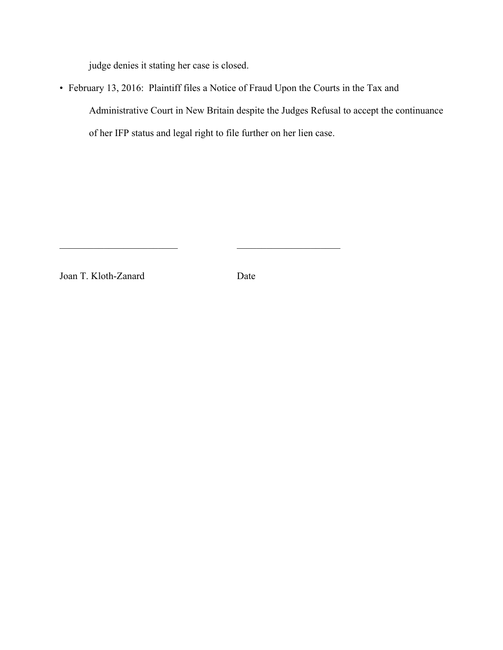judge denies it stating her case is closed.

• February 13, 2016: Plaintiff files a Notice of Fraud Upon the Courts in the Tax and Administrative Court in New Britain despite the Judges Refusal to accept the continuance of her IFP status and legal right to file further on her lien case.

Joan T. Kloth-Zanard Date

 $\mathcal{L}_\text{max}$  , and the contract of the contract of the contract of the contract of the contract of the contract of the contract of the contract of the contract of the contract of the contract of the contract of the contr